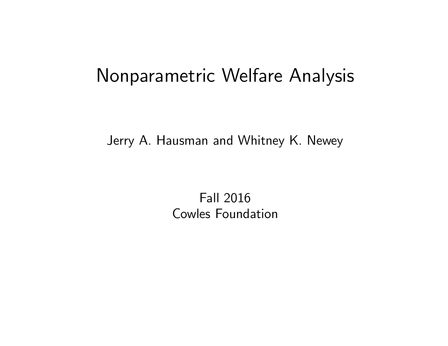# Nonparametric Welfare Analysis

Jerry A. Hausman and Whitney K. Newey

Fall 2016 Cowles Foundation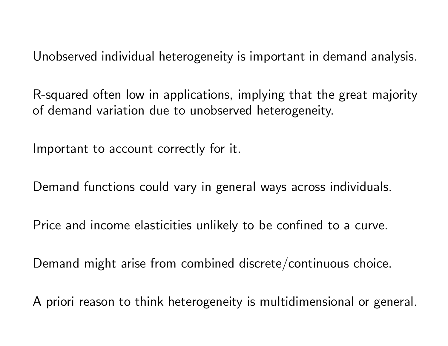Unobserved individual heterogeneity is important in demand analysis.

R-squared often low in applications, implying that the great majority of demand variation due to unobserved heterogeneity.

Important to account correctly for it.

Demand functions could vary in general ways across individuals.

Price and income elasticities unlikely to be con fined to <sup>a</sup> curve.

Demand might arise from combined discrete/continuous choice.

A priori reason to think heterogeneity is multidimensional or general.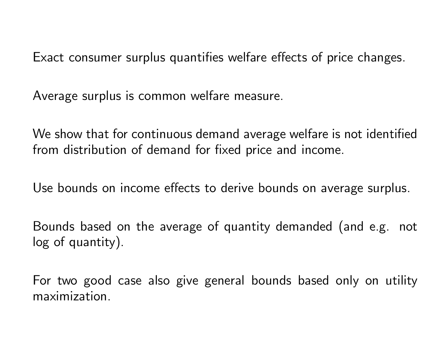Exact consumer surplus quanti fies welfare <sup>e</sup> ffects of price changes.

Average surplus is common welfare measure.

We show that for continuous demand average welfare is not identi fied from distribution of demand for fixed price and income.

Use bounds on income <sup>e</sup> ffects to derive bounds on average surplus.

Bounds based on the average of quantity demanded (and e.g. not log of quantity).

For two good case also give general bounds based only on utility maximization.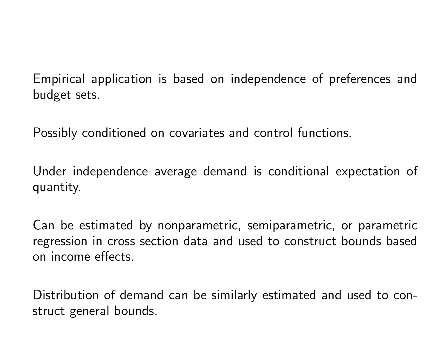Empirical application is based on independence of preferences and budget sets.

Possibly conditioned on covariates and control functions.

Under independence average demand is conditional expectation of quantity.

Can be estimated by nonparametric, semiparametric, or parametric regression in cross section data and used to construct bounds based on income <sup>e</sup>ffects.

Distribution of demand can be similarly estimated and used to construct general bounds.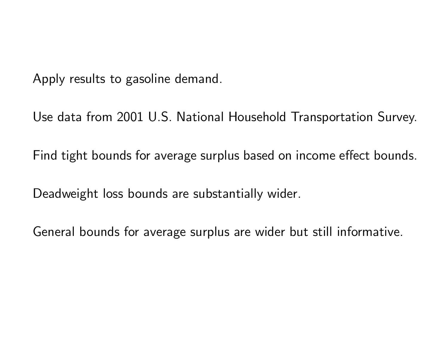Apply results to gasoline demand.

Use data from 2001 U.S. National Household Transportation Survey.

Find tight bounds for average surplus based on income <sup>e</sup> ffect bounds.

Deadweight loss bounds are substantially wider.

General bounds for average surplus are wider but still informative.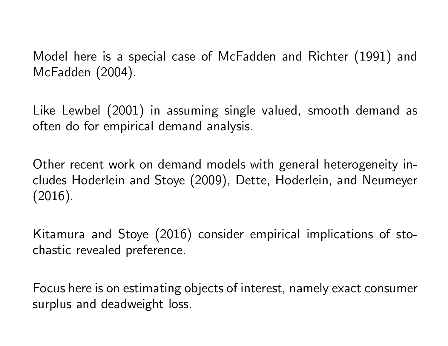Model here is <sup>a</sup> special case of McFadden and Richter (1991) and McFadden (2004).

Like Lewbel (2001) in assuming single valued, smooth demand as often do for empirical demand analysis.

Other recent work on demand models with general heterogeneity includes Hoderlein and Stoye (2009), Dette, Hoderlein, and Neumeyer (2016).

Kitamura and Stoye (2016) consider empirical implications of stochastic revealed preference.

Focus here is on estimating objects of interest, namely exact consumer surplus and deadweight loss.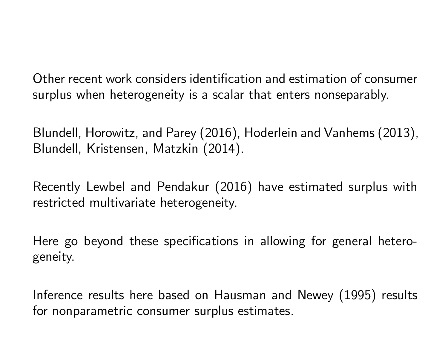Other recent work considers identi fication and estimation of consumersurplus when heterogeneity is <sup>a</sup> scalar that enters nonseparably.

Blundell, Horowitz, and Parey (2016), Hoderlein and Vanhems (2013), Blundell, Kristensen, Matzkin (2014).

Recently Lewbel and Pendakur (2016) have estimated surplus with restricted multivariate heterogeneity.

Here go beyond these speci fications in allowing for general heterogeneity.

Inference results here based on Hausman and Newey (1995) results for nonparametric consumer surplus estimates.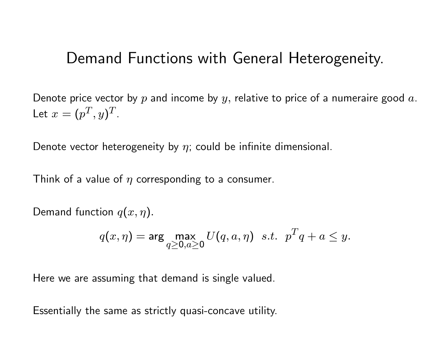### Demand Functions with General Heterogeneity.

Denote price vector by  $p$  and income by  $y,$  relative to price of a numeraire good  $a.$ Let  $x=(p$  $(T,y)^T$ .

Denote vector heterogeneity by  $\eta$ ; could be infinite dimensional.

Think of a value of  $\eta$  corresponding to a consumer.

Demand function  $q(x,\eta).$ 

$$
q(x,\eta) = \arg\max_{q\geq 0, a\geq 0} U(q,a,\eta) \ \ s.t. \ \ p^Tq + a \leq y.
$$

Here we are assuming that demand is single valued.

Essentially the same as strictly quasi-concave utility.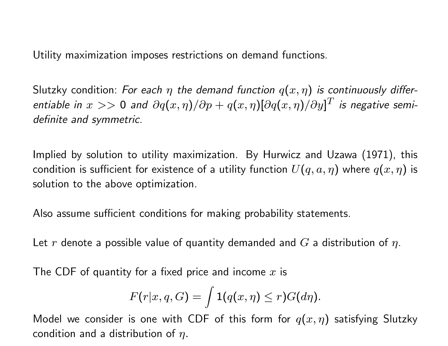Utility maximization imposes restrictions on demand functions.

Slutzky condition: *For each*  $\eta$  *the demand function*  $q(x,\eta)$  *is continuously differ*entiable in  $x>>$  0 and  $\partial q(x,\eta)/\partial p+q(x,\eta)[\partial q(x,\eta)/\partial y]^T$  is negative semide finite and symmetric.

Implied by solution to utility maximization. By Hurwicz and Uzawa (1971), this condition is sufficient for existence of a utility function  $U(q,a,\eta)$  where  $q(x,\eta)$  is solution to the above optimization.

Also assume su fficient conditions for making probability statements.

Let  $r$  denote a possible value of quantity demanded and  $G$  a distribution of  $\eta.$ 

The CDF of quantity for a fixed price and income  $x$  is

$$
F(r|x,q,G)=\int \mathbf{1}(q(x,\eta)\leq r)G(d\eta).
$$

Model we consider is one with CDF of this form for  $q(x,\eta)$  satisfying Slutzky condition and a distribution of  $\eta.$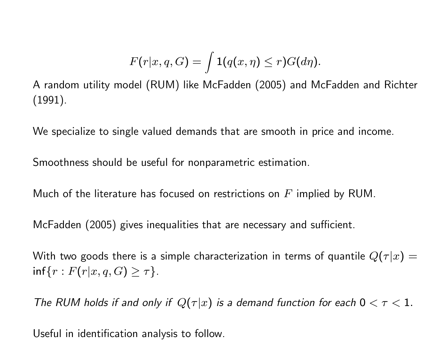$$
F(r|x,q,G)=\int \mathbf{1}(q(x,\eta)\leq r)G(d\eta).
$$

<sup>A</sup> random utility model (RUM) like McFadden (2005) and McFadden and Richter (1991).

We specialize to single valued demands that are smooth in price and income.

Smoothness should be useful for nonparametric estimation.

Much of the literature has focused on restrictions on  $F$  implied by RUM.

McFadden (2005) <sup>g</sup>ives inequalities that are necessary and sufficient.

With two goods there is a simple characterization in terms of quantile  $Q(\tau|x) = 0$  $\inf \{ r : F(r | x, q, G) \geq \tau \}.$ 

The RUM holds if and only if  $\,Q(\tau|x)$  is a demand function for each  $0 < \tau < 1.$ 

Useful in identification analysis to follow.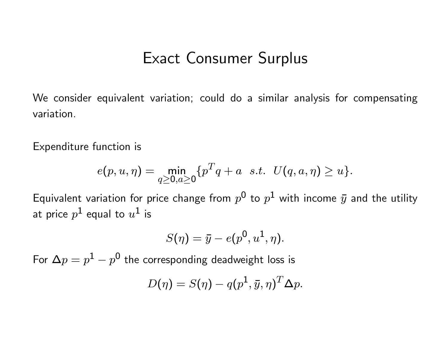### Exact Consumer Surplus

We consider equivalent variation; could do <sup>a</sup> similar analysis for compensating variation.

Expenditure function is

$$
e(p, u, \eta) = \min_{q \ge 0, a \ge 0} \{ p^T q + a \text{ s.t. } U(q, a, \eta) \ge u \}.
$$

Equivalent variation for price change from  $p$  $^{\mathsf{0}}$  to  $p$  $^1$  with income  $\bar{y}$  and the utility at price  $p$  $^{\mathsf{1}}$  equal to  $u$  $1$  is

$$
S(\eta) = \bar{y} - e(p^0, u^1, \eta).
$$

For  $\Delta p = p$  $\frac{1}{p} - p$  $^{\textrm{\textregistered}}$  the corresponding deadweight loss is

$$
D(\eta) = S(\eta) - q(p^1, \bar{y}, \eta)^T \Delta p.
$$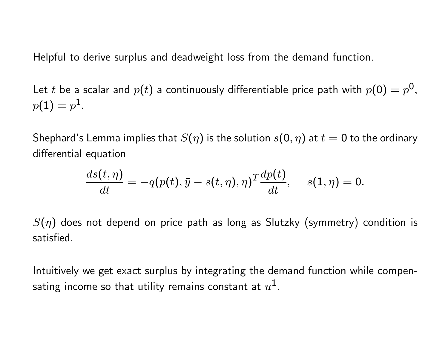Helpful to derive surplus and deadweight loss from the demand function.

Let  $t$  be a scalar and  $p(t)$  a continuously differentiable price path with  $p(\mathsf{0}) = p$ 0,  $p(\mathbf{1}) = p$  $\mathbf{1}$  .

Shephard's Lemma implies that  $S(\eta)$  is the solution  $s(\mathsf{0},\eta)$  at  $t=\mathsf{0}$  to the ordinary di fferential equation

$$
\frac{ds(t,\eta)}{dt}=-q(p(t),\bar{y}-s(t,\eta),\eta)^T\frac{dp(t)}{dt},\quad \ s(1,\eta)=0.
$$

 $S(\eta)$  does not depend on price path as long as Slutzky (symmetry) condition is satis fied.

Intuitively we get exact surplus by integrating the demand function while compensating income so that utility remains constant at  $\boldsymbol{u}$ 1.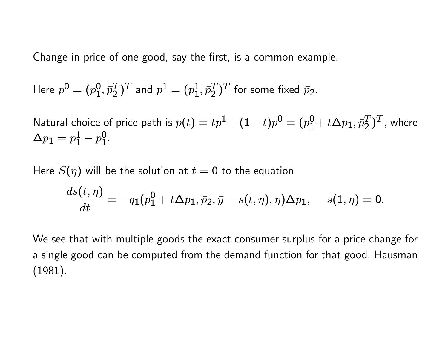Change in price of one good, say the first, is <sup>a</sup> common example.

Here 
$$
p^0 = (p_1^0, \bar{p}_2^T)^T
$$
 and  $p^1 = (p_1^1, \bar{p}_2^T)^T$  for some fixed  $\bar{p}_2$ .

Natural choice of price path is  $p(t)=tp^{\pmb{1}}+(1)$  $(-t)p$  $^{\text{0}}=(p$  $\frac{0}{1}+t\Delta p_1, \bar{p}_2^T)^T,$  where  $\Delta p_{\mathbf{1}}=p$  $\frac{1}{1}-p$ 0 1

Here  $S(\eta)$  will be the solution at  $t= {\mathsf 0}$  to the equation

$$
\frac{ds(t,\eta)}{dt}=-q_1(p_1^0+t\Delta p_1,\bar p_2,\bar y-s(t,\eta),\eta)\Delta p_1,\quad \, s(1,\eta)=0.
$$

We see that with multiple goods the exact consumer surplus for <sup>a</sup> price change for <sup>a</sup> single good can be computed from the demand function for that good, Hausman (1981).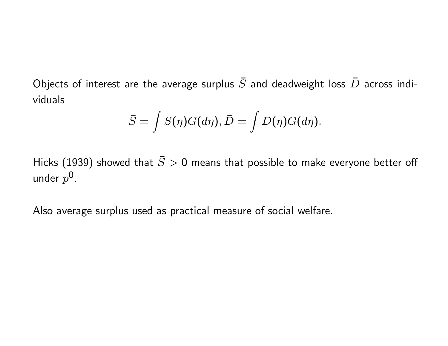Objects of interest are the average surplus  $\bar{S}$  and deadweight loss  $\bar{D}$  across individuals

$$
\bar{S} = \int S(\eta)G(d\eta), \bar{D} = \int D(\eta)G(d\eta).
$$

Hicks (1939) showed that  $\bar{S}>0$  means that possible to make everyone better off under  $p$  $\overline{0}$  .

Also average surplus used as practical measure of social welfare.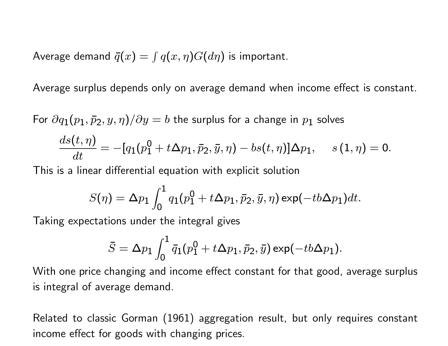Average demand  $\bar{q}(x) = \int q(x,\eta) G(d\eta)$  is important.

Average surplus depends only on average demand when income <sup>e</sup>ffect is constant.

For  $\partial q_1(p_1, \bar p_2, y, \eta) / \partial y = b$  the surplus for a change in  $p_1$  solves

$$
\frac{ds(t,\eta)}{dt}=-[q_1(p_1^0+t\Delta p_1,\bar p_2,\bar y,\eta)-bs(t,\eta)]\Delta p_1,\quad \, s\left(1,\eta\right)=0.
$$

This is <sup>a</sup> linear differential equation with explicit solution

$$
S(\eta) = \Delta p_1 \int_0^1 q_1(p_1^0 + t\Delta p_1, \bar{p}_2, \bar{y}, \eta) \exp(-tb\Delta p_1) dt.
$$

Taking expectations under the integral gives

$$
\bar{S}=\Delta p_1\int_0^1\bar{q}_1(p_1^0+t\Delta p_1,\bar{p}_2,\bar{y})\exp(-tb\Delta p_1).
$$

With one price changing and income <sup>e</sup>ffect constant for that good, average surplus is integral of average demand.

Related to classic Gorman (1961) aggregation result, but only requires constant income <sup>e</sup>ffect for goods with changing prices.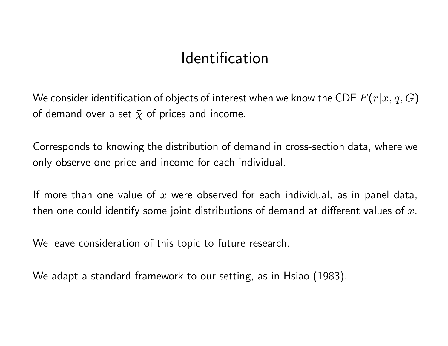## **Identification**

We consider identification of objects of interest when we know the CDF  $F(r|x, q, G)$ of demand over a set  $\bar\chi$  of prices and income.

Corresponds to knowing the distribution of demand in cross-section data, where we only observe one price and income for each individual.

If more than one value of  $x$  were observed for each individual, as in panel data, then one could identify some joint distributions of demand at different values of  $x$ .

We leave consideration of this topic to future research.

We adapt <sup>a</sup> standard framework to our setting, as in Hsiao (1983).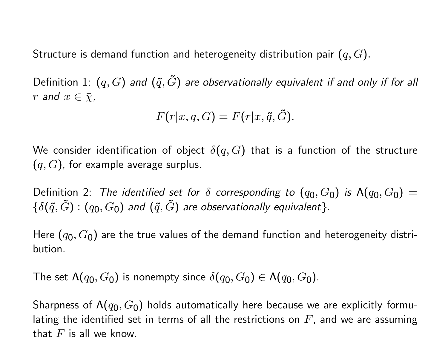Structure is demand function and heterogeneity distribution pair  $(q,G).$ 

Definition 1:  $(q,G)$  and  $(\tilde{q},\tilde{G})$  are observationally equivalent if and only if for all  $r$  and  $x\in\bar{\chi}$  ,

$$
F(r|x, q, G) = F(r|x, \tilde{q}, \tilde{G}).
$$

We consider identification of object  $\delta(q,G)$  that is a function of the structure  $(q,G)$ , for example average surplus.

Definition 2: The identified set for  $\delta$  corresponding to  $(q_0, G_0)$  is  $\mathsf{A}(q_0, G_0)$  =  $\{\delta(\tilde{q}, \tilde{G}) : (q_0, G_0)$  and  $(\tilde{q}, \tilde{G})$  are observationally equivalent}.

Here  $(q_0, G_0)$  are the true values of the demand function and heterogeneity distribution.

The set  $\mathsf{\Lambda}(q_0, G_0)$  is nonempty since  $\delta(q_0, G_0) \in \mathsf{\Lambda}(q_0, G_0).$ 

Sharpness of  $\mathsf{A}(q_0, G_0)$  holds automatically here because we are explicitly formulating the identified set in terms of all the restrictions on  $F_\cdot$  and we are assuming that  $F$  is all we know.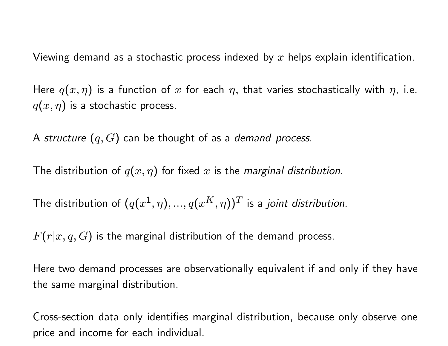Viewing demand as a stochastic process indexed by  $x$  helps explain identification.

Here  $q(x,\eta)$  is a function of  $x$  for each  $\eta,$  that varies stochastically with  $\eta,$  i.e.  $q(x,\eta)$  is a stochastic process.

A *structure*  $(q,G)$  can be thought of as a *demand process*.

The distribution of  $q(x,\eta)$  for fixed  $x$  is the *marginal distribution.* 

The distribution of  $\it (q(x))$ 1 $(\eta),...,q(x^K,\eta))^T$  is a *joint distribution.* 

 $F(r \vert x, q, G)$  is the marginal distribution of the demand process.

Here two demand processes are observationally equivalent if and only if they have the same marginal distribution.

Cross-section data only identi fies marginal distribution, because only observe one price and income for each individual.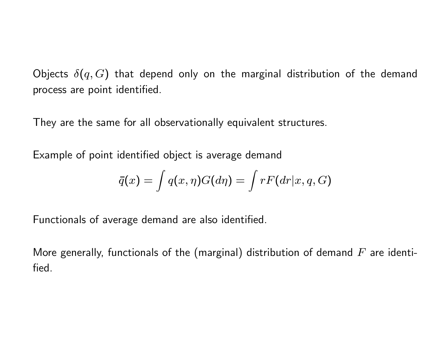Objects  $\delta(q,G)$  that depend only on the marginal distribution of the demand process are point identified.

They are the same for all observationally equivalent structures.

Example of point identified object is average demand

$$
\bar{q}(x)=\int q(x,\eta)G(d\eta)=\int rF(dr|x,q,G)
$$

Functionals of average demand are also identified.

More generally, functionals of the (marginal) distribution of demand  $F$  are identified.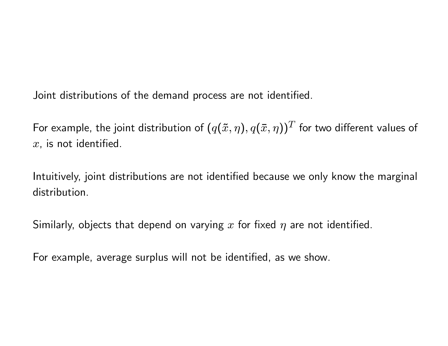Joint distributions of the demand process are not identi fied.

For example, the joint distribution of  $(q(\tilde x, \eta), q(\bar x, \eta))^T$  for two different values of  $x_\cdot$  is not identified.

Intuitively, joint distributions are not identi fied because we only know the marginal distribution.

Similarly, objects that depend on varying  $x$  for fixed  $\eta$  are not identified.

For example, average surplus will not be identi fied, as we show.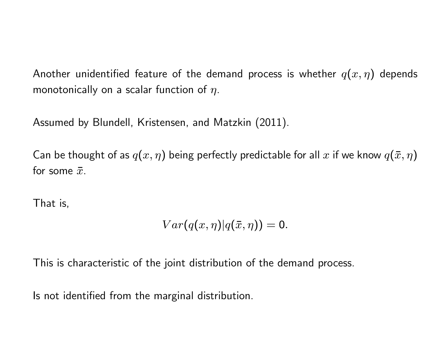Another unidentified feature of the demand process is whether  $q ( x, \eta )$  depends monotonically on a scalar function of  $\eta$ .

Assumed by Blundell, Kristensen, and Matzkin (2011).

Can be thought of as  $q ( x, \eta )$  being perfectly predictable for all  $x$  if we know  $q (\bar x, \eta)$ for some  $\bar{x}.$ 

That is,

$$
Var(q(x,\eta)|q(\bar{x},\eta))=0.
$$

This is characteristic of the joint distribution of the demand process.

Is not identified from the marginal distribution.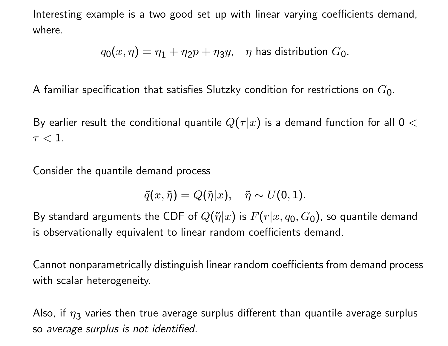Interesting example is <sup>a</sup> two good set up with linear varying coe fficients demand, where.

 $q_{\bf 0}(x,\eta)=\eta_{{\bf 1}}+\eta_{{\bf 2}}p+\eta_{{\bf 3}}y$ ,  $\quad \eta$  has distribution  $G_{\bf 0}.$ 

A familiar specification that satisfies Slutzky condition for restrictions on  $G_{\bf 0}$ .

By earlier result the conditional quantile  $Q(\tau|x)$  is a demand function for all 0  $<$  $\tau < 1$  .

Consider the quantile demand process

$$
\tilde{q}(x,\tilde{\eta})=Q(\tilde{\eta}|x),\quad \tilde{\eta}\sim U(0,1).
$$

By standard arguments the CDF of  $Q(\tilde{\eta}|x)$  is  $F(r|x,q_0,G_0)$ , so quantile demand is observationally equivalent to linear random coe fficients demand.

Cannot nonparametrically distinguish linear random coe fficients from demand process with scalar heterogeneity.

Also, if  $\eta_{\mathbf{3}}$  varies then true average surplus different than quantile average surplus so average surplus is not identi fied.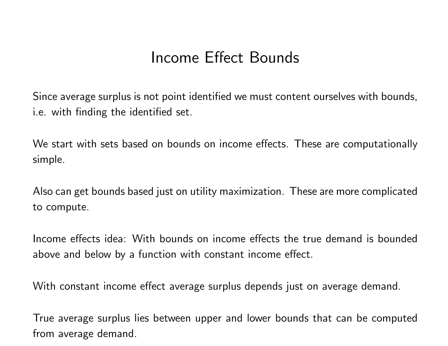## Income Effect Bounds

Since average surplus is not point identified we must content ourselves with bounds, i.e. with finding the identified set.

We start with sets based on bounds on income <sup>e</sup>ffects. These are computationally simple.

Also can get bounds based just on utility maximization. These are more complicated to compute.

Income <sup>e</sup>ffects idea: With bounds on income <sup>e</sup>ffects the true demand is boundedabove and below by <sup>a</sup> function with constant income <sup>e</sup>ffect.

With constant income <sup>e</sup>ffect average surplus depends just on average demand.

True average surplus lies between upper and lower bounds that can be computed from average demand.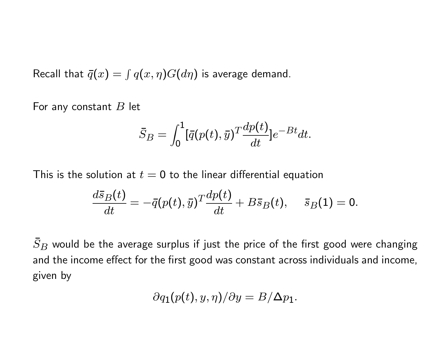Recall that  $\bar{q}(x) = \int q(x,\eta) G(d\eta)$  is average demand.

For any constant  $B$  let

$$
\bar{S}_B = \int_0^1 [\bar{q}(p(t), \bar{y})^T \frac{dp(t)}{dt}] e^{-Bt} dt.
$$

This is the solution at  $t=0$  to the linear differential equation

$$
\frac{d\bar{s}_B(t)}{dt}=-\bar{q}(p(t),\bar{y})^T\frac{dp(t)}{dt}+B\bar{s}_B(t),\quad \ \ \bar{s}_B(1)=0.
$$

 $S\,$  $S_{\boldsymbol{B}}$  would be the average surplus if just the price of the first good were changing and the income <sup>e</sup>ffect for the first good was constant across individuals and income, given by

$$
\partial q_1(p(t),y,\eta)/\partial y=B/\Delta p_1.
$$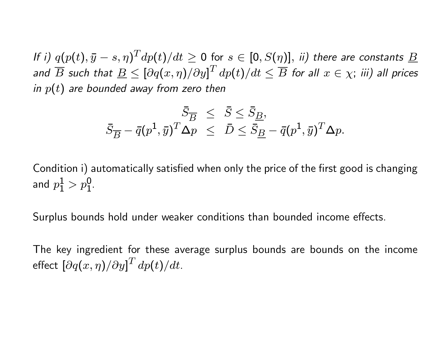If i)  $q(p(t), \bar{y} - s, \eta)^T dp(t)/dt \ge 0$  for  $s \in [0, S(\eta)],$  ii) there are constants  $\underline{B}$ and  $\overline{B}$  such that  $\underline{B}\leq [\partial q(x,\eta)/\partial y]^T\,dp(t)/dt\leq \overline{B}$  for all  $x\in \chi;$  iii) all prices in  $p(t)$  are bounded away from zero then

$$
\overline{S}_{\overline{B}} \leq \overline{S} \leq \overline{S}_{\underline{B}},
$$
  

$$
\overline{S}_{\overline{B}} - \overline{q}(p^1, \overline{y})^T \Delta p \leq \overline{D} \leq \overline{S}_{\underline{B}} - \overline{q}(p^1, \overline{y})^T \Delta p.
$$

Condition i) automatically satisfied when only the price of the first good is changing and  $p^1_1 > p^0_1.$ 

Surplus bounds hold under weaker conditions than bounded income <sup>e</sup>ffects.

The key ingredient for these average surplus bounds are bounds on the income effect  $[\partial q(x,\eta) / \partial y]^T\,dp(t)/dt.$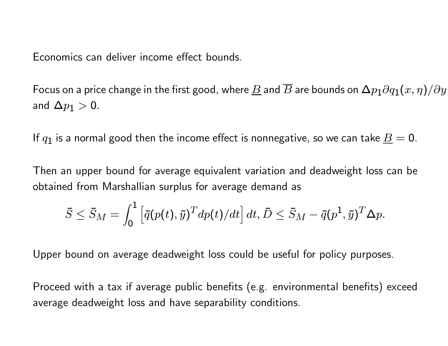Economics can deliver income <sup>e</sup>ffect bounds.

Focus on a price change in the first good, where  $\underline{B}$  and  $\overline{B}$  are bounds on  $\Delta p_1 \partial q_1(x,\eta)/\partial y$ and  $\Delta p_{1}>0.$ 

If  $q_1$  is a normal good then the income effect is nonnegative, so we can take  $\underline{B} = \textbf{0}.$ 

Then an upper bound for average equivalent variation and deadweight loss can be obtained from Marshallian surplus for average demand as

$$
\bar{S} \leq \bar{S}_M = \int_0^1 \left[ \bar{q}(p(t), \bar{y})^T dp(t) / dt \right] dt, \bar{D} \leq \bar{S}_M - \bar{q}(p^1, \bar{y})^T \Delta p.
$$

Upper bound on average deadweight loss could be useful for policy purposes.

Proceed with <sup>a</sup> tax if average public benefits (e.g. environmental benefits) exceed average deadweight loss and have separability conditions.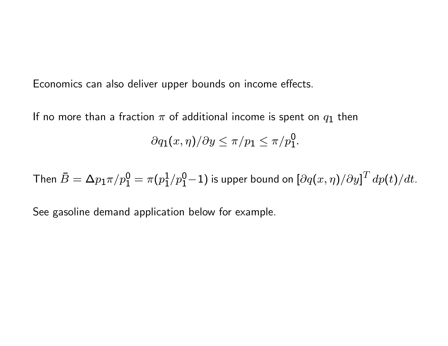Economics can also deliver upper bounds on income <sup>e</sup> ffects.

If no more than a fraction  $\pi$  of additional income is spent on  $q_1$  then  $\partial q_1(x,\eta)/\partial y \leq \pi/p_1 \leq \pi/p_1^0.$ 

Then  $\bar{B}=\Delta p_1\pi/p_1^0=\pi(p)$ 1  $\frac{1}{2} / p_1^0\! -\! 1)$  is upper bound on  $\left[ \partial q(x,\eta) / \partial y \right]^T dp(t)/dt.$ 

See gasoline demand application below for example.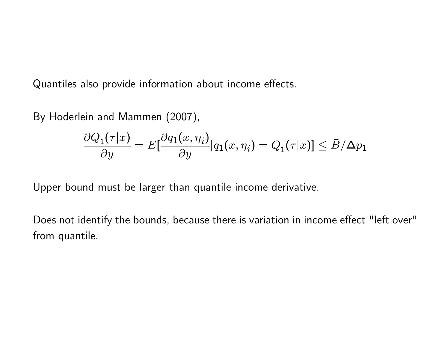Quantiles also provide information about income <sup>e</sup> ffects.

By Hoderlein and Mammen (2007),

$$
\frac{\partial Q_1(\tau|x)}{\partial y} = E\left[\frac{\partial q_1(x,\eta_i)}{\partial y}|q_1(x,\eta_i) = Q_1(\tau|x)\right] \le \bar{B}/\Delta p_1
$$

Upper bound must be larger than quantile income derivative.

Does not identify the bounds, because there is variation in income <sup>e</sup> ffect "left over" from quantile.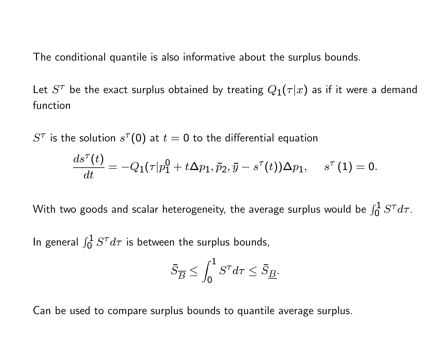The conditional quantile is also informative about the surplus bounds.

Let  $S$  $^\tau$  be the exact surplus obtained by treating  $Q_1(\tau|x)$  as if it were a demand function

 $S\,$  $^\tau$  is the solution  $s$  $^{\tau}(0)$  at  $t=0$  to the differential equation

$$
\frac{ds^{\tau}(t)}{dt}=-Q_{1}(\tau|p^{0}_{1}+t\Delta p_{1},\bar{p}_{2},\bar{y}-s^{\tau}(t))\Delta p_{1},\quad \ s^{\tau}\left(1\right)=0.
$$

With two goods and scalar heterogeneity, the average surplus would be  $\int_0^1 S^\tau d\tau.$ 

In general  $\int_0^1 S^\tau d\tau$  is between the surplus bounds,

$$
\bar{S}_{\overline{B}} \leq \int_0^1 S^\tau d\tau \leq \bar{S}_{\underline{B}}.
$$

Can be used to compare surplus bounds to quantile average surplus.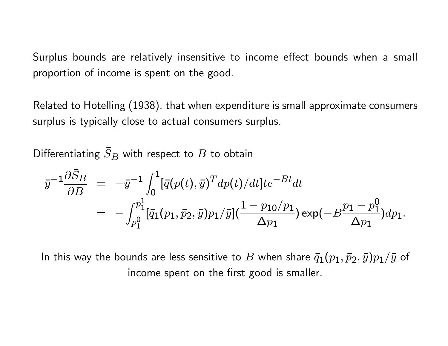Surplus bounds are relatively insensitive to income <sup>e</sup> ffect bounds when <sup>a</sup> small proportion of income is spent on the good.

Related to Hotelling (1938), that when expenditure is small approximate consumers surplus is typically close to actual consumers surplus.

Differentiating  $\bar{S}_B$  with respect to  $B$  to obtain

$$
\begin{array}{lcl} \bar y^{-1}\frac{\partial \bar S_B}{\partial B} &=& -\bar y^{-1}\int_0^1 [\bar q(p(t),\bar y)^Tdp(t)/dt]te^{-Bt}dt \\ & = & -\int_{p_1^0}^{p_1^1} [\bar q_1(p_1,\bar p_2,\bar y)p_1/\bar y](\frac{1-p_{10}/p_1}{\Delta p_1})\exp(-B\frac{p_1-p_1^0}{\Delta p_1})dp_1. \end{array}
$$

In this way the bounds are less sensitive to  $B$  when share  $\bar{q}_{1}(p_{1},\bar{p}_{2},\bar{y})p_{1}/\bar{y}$  of income spent on the first good is smaller.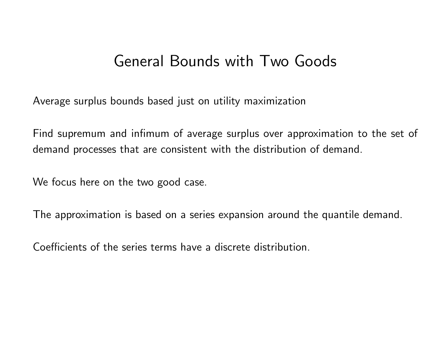### General Bounds with Two Goods

Average surplus bounds based just on utility maximization

Find supremum and in fimum of average surplus over approximation to the set of demand processes that are consistent with the distribution of demand.

We focus here on the two good case.

The approximation is based on <sup>a</sup> series expansion around the quantile demand.

Coefficients of the series terms have <sup>a</sup> discrete distribution.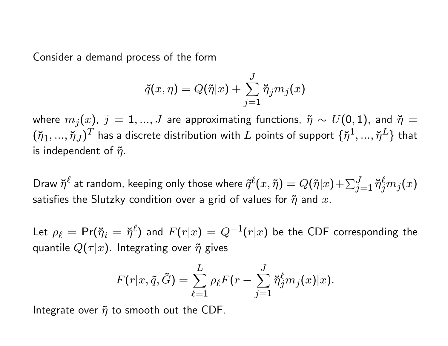Consider <sup>a</sup> demand process of the form

$$
\tilde{q}(x,\eta)=Q(\tilde{\eta}|x)+\sum_{j=1}^J \breve{\eta}_j m_j(x)
$$

where  $m_j(x)$ ,  $j=1,...,J$  are approximating functions,  $\widetilde{\eta} \sim U(0,1),$  and  $\breve{\eta} =$  $(\breve\eta_1,...,\breve\eta_J)^T$  has a discrete distribution with  $L$  points of support  $\{\breve\eta^1,...,\breve\eta^L\}$ } that is independent of  $\tilde{\eta}.$ 

Draw  $\breve{\eta}^\ell$  at random, keeping only those where  $\tilde{q}^\ell(x,\tilde{\eta})=Q(\tilde{\eta}|x){+}\sum_{j=1}^J\breve{\eta}^\ell_j m_j(x)$ satisfies the Slutzky condition over a grid of values for  $\tilde{\eta}$  and  $x.$ 

Let  $\rho_{\ell} = \mathsf{Pr}(\breve{\eta}_i = \breve{\eta}^{\ell})$ ) and  $F(r|x)=\,^{-1}$  $\left( r|x\right)$  be the CDF corresponding the quantile  $Q(\tau|x)$ . Integrating over  $\tilde{\eta}$  gives

$$
F(r|x,\tilde{q},\tilde{G})=\sum_{\ell=1}^L \rho_\ell F(r-\sum_{j=1}^J \breve{\eta}^\ell_j m_j(x)|x).
$$

Integrate over  $\widetilde{\eta}$  to smooth out the CDF.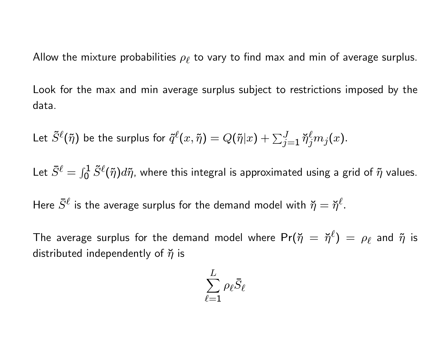Allow the mixture probabilities  $\rho_\ell$  to vary to find max and min of average surplus.

Look for the max and min average surplus subject to restrictions imposed by the data.

Let 
$$
\tilde{S}^{\ell}(\tilde{\eta})
$$
 be the surplus for  $\tilde{q}^{\ell}(x, \tilde{\eta}) = Q(\tilde{\eta}|x) + \sum_{j=1}^{J} \tilde{\eta}_j^{\ell} m_j(x)$ .

Let  $S$  $\bar{\mathsf{s}}^\ell =$  $\tilde{h} = \int_0^1 \tilde{S}^\ell(\tilde{\eta}) d\tilde{\eta}$ , where this integral is approximated using a grid of  $\tilde{\eta}$  values.

Here  $S$  $\bar{S}^\ell$  is the average surplus for the demand model with  $\breve{\eta}=\breve{\eta}^\ell.$ 

The average surplus for the demand model where  $\mathsf{Pr}(\breve{\eta} \ = \ \breve{\eta}^\ell) \ = \ \rho_\ell$  and  $\widetilde{\eta}$  is distributed independently of  $\breve{\eta}$  is

$$
\sum_{\ell=1}^L \rho_\ell \bar{S}_\ell
$$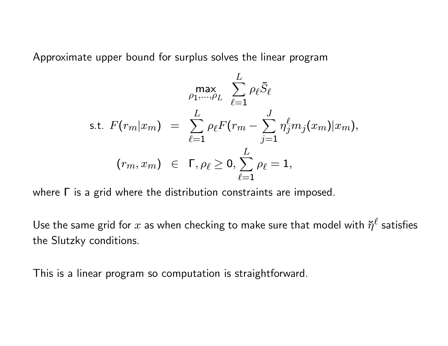Approximate upper bound for surplus solves the linear program

$$
\begin{array}{l} \displaystyle \max_{\rho_1,\ldots,\rho_L} \;\; \sum_{\ell=1}^L \rho_\ell \bar{S}_\ell \\[1ex] \text{s.t.} \;\; F(r_m|x_m) \;\; = \;\; \sum_{\ell=1}^L \rho_\ell F(r_m - \sum_{j=1}^J \eta_j^\ell m_j(x_m) | x_m), \\[1ex] (r_m,x_m) \;\; \in \;\; \mathsf \Gamma, \rho_\ell \geq \mathsf 0, \sum_{\ell=1}^L \rho_\ell = \mathsf 1, \end{array}
$$

where Γ is <sup>a</sup> grid where the distribution constraints are imposed.

Use the same grid for  $x$  as when checking to make sure that model with  $\breve{\eta}^\ell$  satisfies the Slutzky conditions.

This is <sup>a</sup> linear program so computation is straightforward.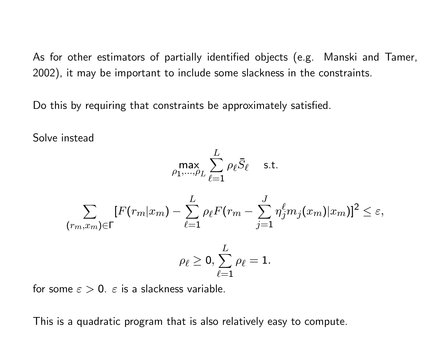As for other estimators of partially identi fied objects (e.g. Manski and Tamer, 2002), it may be important to include some slackness in the constraints.

Do this by requiring that constraints be approximately satis fied.

Solve instead

$$
\max_{\rho_1,\ldots,\rho_L}\sum_{\ell=1}^L \rho_\ell \bar{S}_\ell \quad \text{ s.t. }
$$

$$
\sum_{(r_m,x_m)\in \mathsf{\Gamma}}[F(r_m|x_m)-\sum_{\ell=1}^L \rho_\ell F(r_m-\sum_{j=1}^J \eta_j^\ell m_j(x_m)|x_m)]^2\leq \varepsilon,
$$

$$
\rho_\ell \geq 0, \sum_{\ell=1}^L \rho_\ell = 1.
$$

for some  $\varepsilon>0.$   $\varepsilon$  is a slackness variable.

This is <sup>a</sup> quadratic program that is also relatively easy to compute.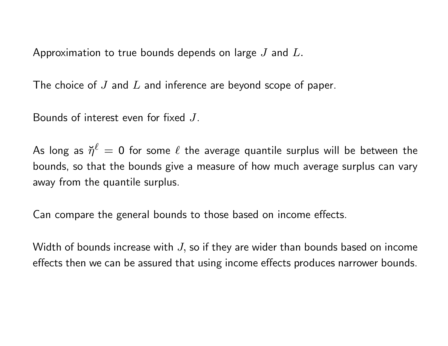Approximation to true bounds depends on large  $J$  and  $L.$ 

The choice of  $J$  and  $L$  and inference are beyond scope of paper.

Bounds of interest even for fixed  $J.$ 

As long as  $\breve{\eta}^\ell\,=\,0$  for some  $\ell$  the average quantile surplus will be between the bounds, so that the bounds give <sup>a</sup> measure of how much average surplus can vary away from the quantile surplus.

Can compare the general bounds to those based on income <sup>e</sup> ffects.

Width of bounds increase with  $J\!,$  so if they are wider than bounds based on income e ffects then we can be assured that using income <sup>e</sup> ffects produces narrower bounds.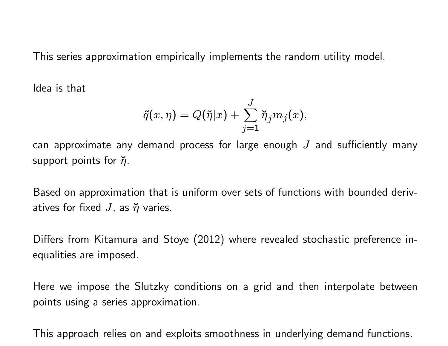This series approximation empirically implements the random utility model.

Idea is that

$$
\tilde{q}(x,\eta)=Q(\tilde{\eta}|x)+\sum_{j=1}^J\breve{\eta}_j m_j(x),
$$

can approximate any demand process for large enough  $J$  and sufficiently many support points for  $\breve{\eta}$ .

Based on approximation that is uniform over sets of functions with bounded derivatives for fixed  $J$ , as  $\breve{\eta}$  varies.

Di ffers from Kitamura and Stoye (2012) where revealed stochastic preference inequalities are imposed.

Here we impose the Slutzky conditions on <sup>a</sup> grid and then interpolate between points using <sup>a</sup> series approximation.

This approach relies on and exploits smoothness in underlying demand functions.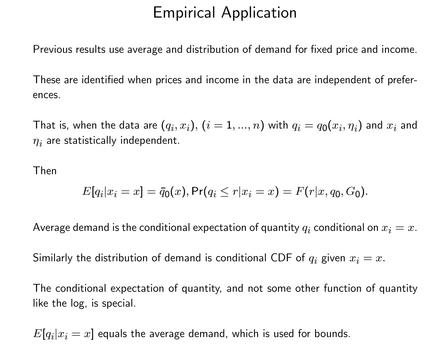## Empirical Application

Previous results use average and distribution of demand for fixed price and income.

These are identified when prices and income in the data are independent of preferences.

That is, when the data are  $(q_i, x_i)$ ,  $(i = 1, ..., n)$  with  $q_i = q_0(x_i, \eta_i)$  and  $x_i$  and  $\eta_i$  are statistically independent.

### Then

$$
E[q_i|x_i = x] = \bar{q}_0(x), \Pr(q_i \le r|x_i = x) = F(r|x, q_0, G_0).
$$

Average demand is the conditional expectation of quantity  $q_i$  conditional on  $x_i = x_{\cdot}$ 

Similarly the distribution of demand is conditional CDF of  $q_i$  given  $x_i=x.$ 

The conditional expectation of quantity, and not some other function of quantity like the log, is special.

 $E[q_i | x_i = x]$  equals the average demand, which is used for bounds.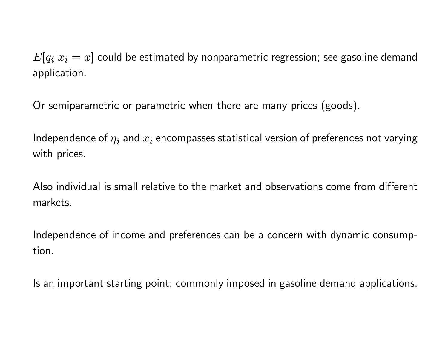$E[q_i | x_i = x]$  could be estimated by nonparametric regression; see gasoline demand application.

Or semiparametric or parametric when there are many prices (goods).

Independence of  $\eta_i$  and  $x_i$  encompasses statistical version of preferences not varying with prices.

Also individual is small relative to the market and observations come from different markets.

Independence of income and preferences can be <sup>a</sup> concern with dynamic consumption.

Is an important starting point; commonly imposed in gasoline demand applications.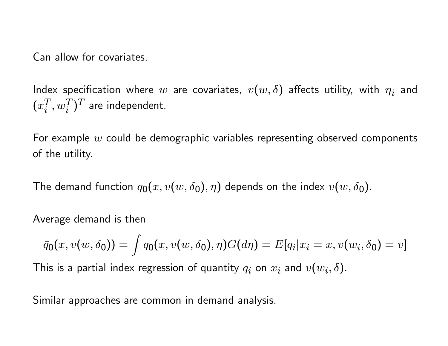Can allow for covariates.

Index specification where  $w$  are covariates,  $v ( w, \delta )$  affects utility, with  $\eta_{\textit{i}}$  and  $(x_i^T, w_i^T)^T$  are independent.

For example  $w$  could be demographic variables representing observed components of the utility.

The demand function  $q_0 ( x, v ( w, \delta_0) , \eta )$  depends on the index  $v ( w, \delta_0).$ 

Average demand is then

$$
\overline{q}_0(x, v(w, \delta_0)) = \int q_0(x, v(w, \delta_0), \eta) G(d\eta) = E[q_i | x_i = x, v(w_i, \delta_0) = v]
$$
  
This is a partial index regression of quantity  $q_i$  on  $x_i$  and  $v(w_i, \delta)$ .

Similar approaches are common in demand analysis.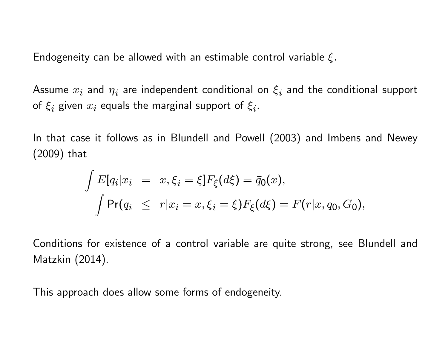Endogeneity can be allowed with an estimable control variable  $\xi$ .

Assume  $x_i$  and  $\eta_i$  are independent conditional on  $\xi_i$  and the conditional support of  $\xi_i$  given  $x_i$  equals the marginal support of  $\xi_i.$ 

In that case it follows as in Blundell and Powell (2003) and Imbens and Newey (2009) that

$$
\int E[q_i|x_i = x, \xi_i = \xi] F_{\xi}(d\xi) = \overline{q}_0(x),
$$
  

$$
\int \Pr(q_i \leq r | x_i = x, \xi_i = \xi) F_{\xi}(d\xi) = F(r | x, q_0, G_0),
$$

Conditions for existence of <sup>a</sup> control variable are quite strong, see Blundell and Matzkin (2014).

This approach does allow some forms of endogeneity.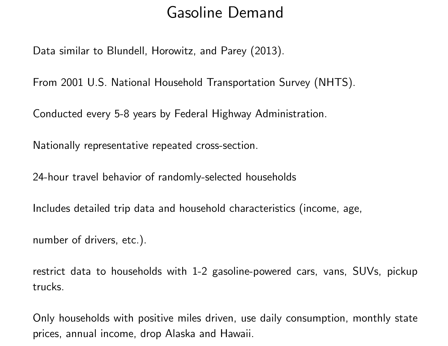## Gasoline Demand

Data similar to Blundell, Horowitz, and Parey (2013).

From 2001 U.S. National Household Transportation Survey (NHTS).

Conducted every 5-8 years by Federal Highway Administration.

Nationally representative repeated cross-section.

24-hour travel behavior of randomly-selected households

Includes detailed trip data and household characteristics (income, age,

```
number of drivers, etc.).
```
restrict data to households with 1-2 gasoline-powered cars, vans, SUVs, pickup trucks.

Only households with positive miles driven, use daily consumption, monthly state prices, annual income, drop Alaska and Hawaii.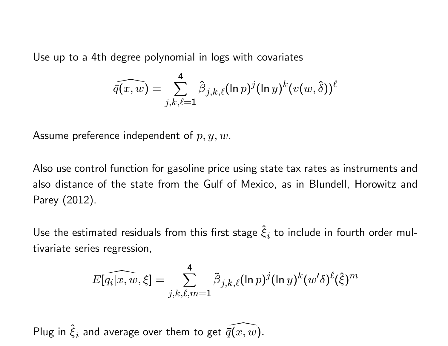Use up to <sup>a</sup> 4th degree polynomial in logs with covariates

$$
\widehat{\overline{q}(x,w)} = \sum_{j,k,\ell=1}^4 \widehat{\beta}_{j,k,\ell} (\ln p)^j (\ln y)^k (v(w,\widehat{\delta}))^{\ell}
$$

Assume preference independent of  $p, y, w$ .

Also use control function for gasoline price using state tax rates as instruments and also distance of the state from the Gulf of Mexico, as in Blundell, Horowitz and Parey (2012).

Use the estimated residuals from this first stage  $\hat{\xi}_i$  to include in fourth order multivariate series regression,

$$
E[\widehat{q_i|x,w,\xi}]=\sum_{j,k,\ell,m=1}^4\tilde\beta_{j,k,\ell}(\ln p)^j(\ln y)^k(w'\delta)^\ell(\hat\xi)^m
$$

Plug in  $\hat{\xi}_i$  and average over them to get  $\widehat{\bar q(x,w)}.$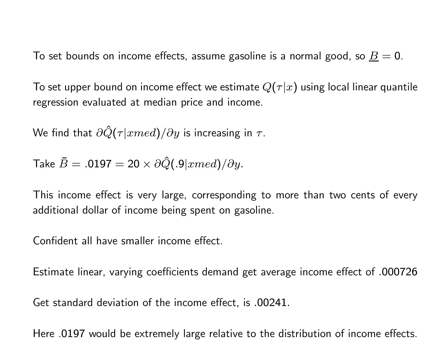To set bounds on income effects, assume gasoline is a normal good, so  $\underline{B}=0.$ 

To set upper bound on income effect we estimate  $Q(\tau|x)$  using local linear quantile regression evaluated at median price and income.

We find that  $\partial \hat{Q}$  $(\tau|xmed)/\partial y$  is increasing in  $\tau.$ 

Take  $B$  $\bar B = .0197 = 20 \times \partial \hat Q$  $(.9|xmed)/\partial y.$ 

This income <sup>e</sup>ffect is very large, corresponding to more than two cents of every additional dollar of income being spent on gasoline.

Confident all have smaller income <sup>e</sup>ffect.

Estimate linear, varying coefficients demand get average income effect of .000726

Get standard deviation of the income effect, is .00241.

Here .0197 would be extremely large relative to the distribution of income <sup>e</sup>ffects.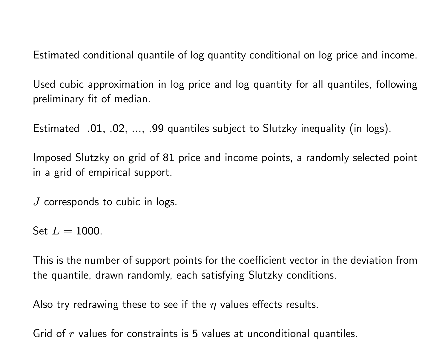Estimated conditional quantile of log quantity conditional on log price and income.

Used cubic approximation in log price and log quantity for all quantiles, following preliminary fit of median.

Estimated  $\,$  .01, .02,  $\,$ .., .99 quantiles subject to Slutzky inequality (in logs).

Imposed Slutzky on grid of 81 price and income points, <sup>a</sup> randomly selected point in <sup>a</sup> grid of empirical support.

 $J$  corresponds to cubic in logs.

Set  $L=1000.$ 

This is the number of support points for the coe fficient vector in the deviation from the quantile, drawn randomly, each satisfying Slutzky conditions.

Also try redrawing these to see if the  $\eta$  values effects results.

Grid of  $r$  values for constraints is 5 values at unconditional quantiles.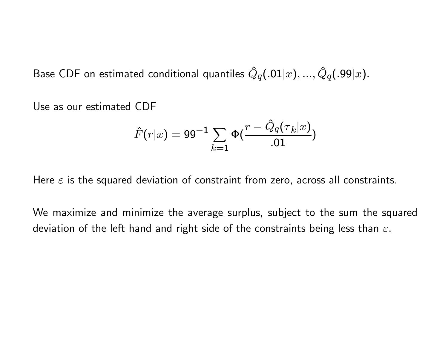Base CDF on estimated conditional quantiles  $\hat{Q}_q(.01|x),...,\hat{Q}_q(.99|x).$ 

Use as our estimated CDF

$$
\hat{F}(r|x) = 99^{-1}\sum_{k=1}\Phi(\frac{r - \hat{Q}_q(\tau_k|x)}{.01})
$$

Here  $\varepsilon$  is the squared deviation of constraint from zero, across all constraints.

We maximize and minimize the average surplus, subject to the sum the squared deviation of the left hand and right side of the constraints being less than  $\varepsilon$ .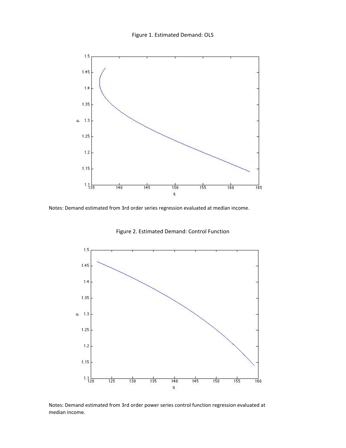

Notes: Demand estimated from 3rd order series regression evaluated at median income.



Figure 2. Estimated Demand: Control Function

Notes: Demand estimated from 3rd order power series control function regression evaluated at median income.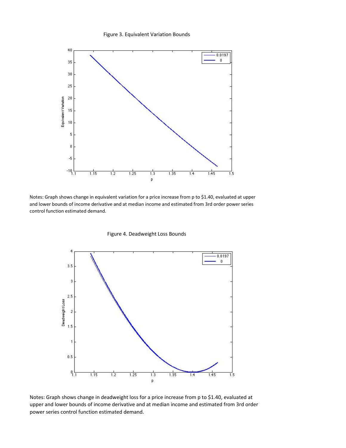### Figure 3. Equivalent Variation Bounds



Notes: Graph shows change in equivalent variation for a price increase from p to \$1.40, evaluated at upper and lower bounds of income derivative and at median income and estimated from 3rd order power series control function estimated demand.

Figure 4. Deadweight Loss Bounds



Notes: Graph shows change in deadweight loss for a price increase from p to \$1.40, evaluated at upper and lower bounds of income derivative and at median income and estimated from 3rd order power series control function estimated demand.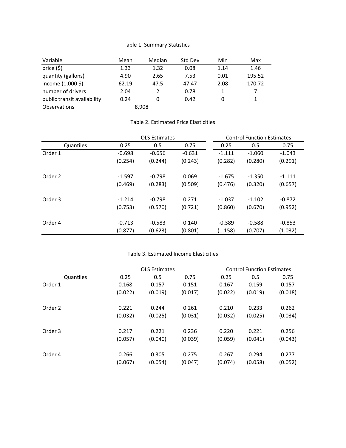### Table 1. Summary Statistics

| Variable                    | Mean  | Median | Std Dev | Min  | Max    |
|-----------------------------|-------|--------|---------|------|--------|
| price $(5)$                 | 1.33  | 1.32   | 0.08    | 1.14 | 1.46   |
| quantity (gallons)          | 4.90  | 2.65   | 7.53    | 0.01 | 195.52 |
| income $(1,000 \, \xi)$     | 62.19 | 47.5   | 47.47   | 2.08 | 170.72 |
| number of drivers           | 2.04  |        | 0.78    |      |        |
| public transit availability | 0.24  | 0      | 0.42    | 0    |        |
| <b>Observations</b>         |       | 8,908  |         |      |        |

### Table 2. Estimated Price Elasticities

|           | <b>OLS Estimates</b> |          |          | <b>Control Function Estimates</b> |          |          |  |
|-----------|----------------------|----------|----------|-----------------------------------|----------|----------|--|
| Quantiles | 0.25                 | 0.5      | 0.75     | 0.25                              | 0.5      | 0.75     |  |
| Order 1   | $-0.698$             | $-0.656$ | $-0.631$ | $-1.111$                          | $-1.060$ | $-1.043$ |  |
|           | (0.254)              | (0.244)  | (0.243)  | (0.282)                           | (0.280)  | (0.291)  |  |
| Order 2   | $-1.597$             | $-0.798$ | 0.069    | $-1.675$                          | $-1.350$ | $-1.111$ |  |
|           | (0.469)              | (0.283)  | (0.509)  | (0.476)                           | (0.320)  | (0.657)  |  |
| Order 3   | $-1.214$             | $-0.798$ | 0.271    | $-1.037$                          | $-1.102$ | $-0.872$ |  |
|           | (0.753)              | (0.570)  | (0.721)  | (0.860)                           | (0.670)  | (0.952)  |  |
| Order 4   | $-0.713$             | $-0.583$ | 0.140    | $-0.389$                          | $-0.588$ | $-0.853$ |  |
|           | (0.877)              | (0.623)  | (0.801)  | (1.158)                           | (0.707)  | (1.032)  |  |

### Table 3. Estimated Income Elasticities

| <b>OLS Estimates</b> |         |         | <b>Control Function Estimates</b> |         |         |         |
|----------------------|---------|---------|-----------------------------------|---------|---------|---------|
| Quantiles            | 0.25    | 0.5     | 0.75                              | 0.25    | 0.5     | 0.75    |
| Order 1              | 0.168   | 0.157   | 0.151                             | 0.167   | 0.159   | 0.157   |
|                      | (0.022) | (0.019) | (0.017)                           | (0.022) | (0.019) | (0.018) |
| Order 2              | 0.221   | 0.244   | 0.261                             | 0.210   | 0.233   | 0.262   |
|                      | (0.032) | (0.025) | (0.031)                           | (0.032) | (0.025) | (0.034) |
| Order 3              | 0.217   | 0.221   | 0.236                             | 0.220   | 0.221   | 0.256   |
|                      | (0.057) | (0.040) | (0.039)                           | (0.059) | (0.041) | (0.043) |
| Order 4              | 0.266   | 0.305   | 0.275                             | 0.267   | 0.294   | 0.277   |
|                      | (0.067) | (0.054) | (0.047)                           | (0.074) | (0.058) | (0.052) |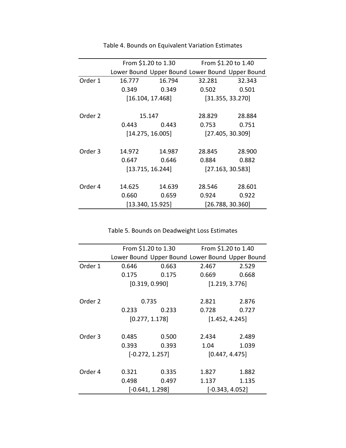|                    |                  | From \$1.20 to 1.30 | From \$1.20 to 1.40                             |                  |  |
|--------------------|------------------|---------------------|-------------------------------------------------|------------------|--|
|                    |                  |                     | Lower Bound Upper Bound Lower Bound Upper Bound |                  |  |
| Order 1            | 16.777           | 16.794              | 32.281                                          | 32.343           |  |
|                    | 0.349            | 0.349               | 0.502                                           | 0.501            |  |
|                    | [16.104, 17.468] |                     | [31.355, 33.270]                                |                  |  |
| Order <sub>2</sub> | 15.147           |                     | 28.829                                          | 28.884           |  |
|                    | 0.443            | 0.443               | 0.753                                           | 0.751            |  |
|                    |                  | [14.275, 16.005]    |                                                 | [27.405, 30.309] |  |
| Order 3            | 14.972           | 14.987              | 28.845                                          | 28.900           |  |
|                    | 0.647            | 0.646               | 0.884                                           | 0.882            |  |
|                    | [13.715, 16.244] |                     | [27.163, 30.583]                                |                  |  |
| Order 4            | 14.625           | 14.639              | 28.546                                          | 28.601           |  |
|                    | 0.660            | 0.659               | 0.924                                           | 0.922            |  |
|                    | [13.340, 15.925] |                     |                                                 | [26.788, 30.360] |  |

Table 4. Bounds on Equivalent Variation Estimates

Table 5. Bounds on Deadweight Loss Estimates

|                    | From \$1.20 to 1.30 |       | From \$1.20 to 1.40                             |       |  |  |
|--------------------|---------------------|-------|-------------------------------------------------|-------|--|--|
|                    |                     |       | Lower Bound Upper Bound Lower Bound Upper Bound |       |  |  |
| Order 1            | 0.646               | 0.663 | 2.467                                           | 2.529 |  |  |
|                    | 0.175               | 0.175 | 0.669                                           | 0.668 |  |  |
|                    | [0.319, 0.990]      |       | [1.219, 3.776]                                  |       |  |  |
| Order <sub>2</sub> | 0.735               |       | 2.821                                           | 2.876 |  |  |
|                    | 0.233               | 0.233 | 0.728                                           | 0.727 |  |  |
|                    | [0.277, 1.178]      |       | [1.452, 4.245]                                  |       |  |  |
| Order 3            | 0.485               | 0.500 | 2.434                                           | 2.489 |  |  |
|                    | 0.393               | 0.393 | 1.04                                            | 1.039 |  |  |
|                    | $[-0.272, 1.257]$   |       | [0.447, 4.475]                                  |       |  |  |
| Order 4            | 0.321               | 0.335 | 1.827                                           | 1.882 |  |  |
|                    | 0.498               | 0.497 | 1.137                                           | 1.135 |  |  |
|                    | $[-0.641, 1.298]$   |       | $[-0.343, 4.052]$                               |       |  |  |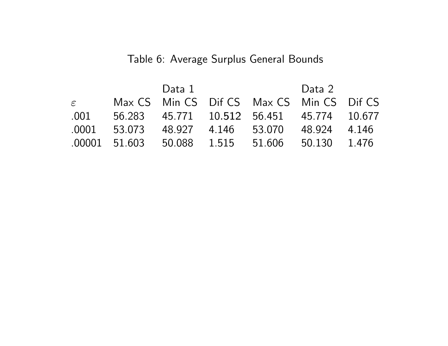### Table 6: Average Surplus General Bounds

|               |                                                | Data 1 |  | Data 2                                    |  |  |
|---------------|------------------------------------------------|--------|--|-------------------------------------------|--|--|
| $\mathcal{E}$ |                                                |        |  | Max CS Min CS Dif CS Max CS Min CS Dif CS |  |  |
| .001          |                                                |        |  | 56.283 45.771 10.512 56.451 45.774 10.677 |  |  |
|               | 0001 53.073 48.927 4.146 53.070 48.924 4.146   |        |  |                                           |  |  |
|               | .00001 51.603 50.088 1.515 51.606 50.130 1.476 |        |  |                                           |  |  |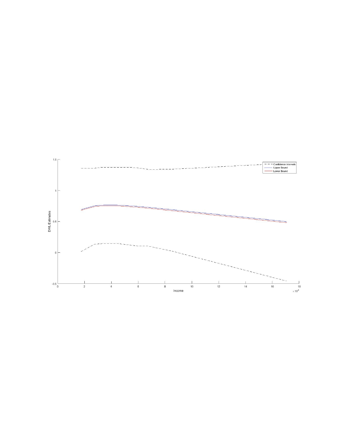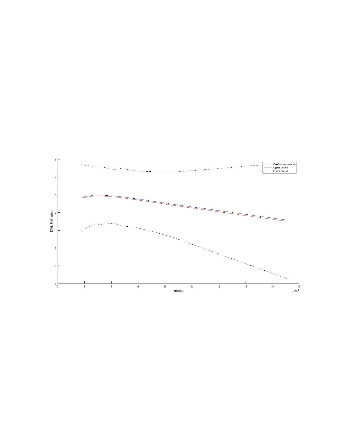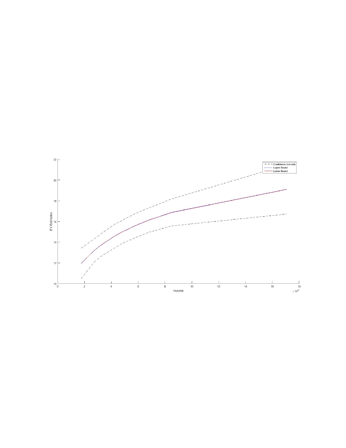